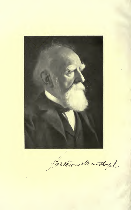

Wathwas Mounthingal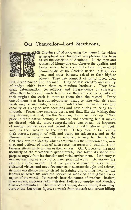## Our Chancellor—Lord Strathcona.



HE Province of Moray, using the name in its widest geographical and historical acceptation, has been called the Scotland of Scotland. In the men and women of Moray one can observe the qualities and forces which have commonly been regarded as characteristic of the Scottish nation in larger degree, and truer balance, raised to their highest power. They are compact of many races, Pict,

Celt, Scandinavian and Norman. They possess strength and vitality of body : which frame them to " endure hardness ". They have great determination, self-reliance, and independence of character. What their hands and minds find to do they are apt to do with all their might; the work is more to them than the reward. Every one of them is at heart an adventurer—ready to take what risks and perils may be met with, trusting to intellectual resourcefulness, and capacity of rising to new occasions and new duties, to bring them through. Power they earnestly desire, not that, like the Viking, they may destroy, but that, like the Norman, they may build up. Their pride in their native country is intense and enduring, but it makes no discord with the more comprehensive patriotism. A largeness of mental horizon does not permit them to take Moray, or Scotland, as the measure of the world. If they owe to the Viking their stature, strength of will, and desire for adventure, and to the Norman their broad constructive intellect, it may be that to the Celt they owe the ideality which comprehends the temperaments, motives and actions of men of alien races, interests and traditions, and foresees effects while hidden in their causes. Our University, the most northerly of the " Academic quadrilateral," has taken its shape and purpose largely from its situation and racial environment. Its history is in a marked degree a record of hard practical work. Its *alumni* are cast in a Stoic mould. If it has produced some devotees of the cloistered virtues and not a few masters in abstract thought and science, its main excellence has consisted in training and arming men for the labours of active life and the service of mankind throughout every region of the world. Its records bear the names of teachers, healers, missionaries, explorers, administrators, builders of empire, and founders of new communities. The men of its training do not desire, if one may borrow the Lucretian figure, to watch from the safe and serene hilltop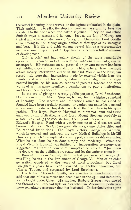the vessel labouring in the waves, or the legions embattled in the plain. Their ambition is to pilot the ship and weather the storm, to bear the standard to the front when the battle is joined. They do not refuse difficult ways to success and honour. Just as the folk of Moray are typical and characteristic among Scots, our Chancellor, Lord Strath cona, among folk of Moray origin, embodies that type at its strongest and best. His life and achievements reveal him as a representative man in whom the qualities of the type have attained their fullest measure of development.

Only a brief and fragmentary sketch of the more remarkable episodes of his career, and of his relations with our University, can be attempted. His reticence on all personal or private matters has been a stumbling-block, almost a scandal, to his biographers. Even the most adroit society interviewer, either in the Old World or the New, can record little more than impressions made by external visible facts, the number and variety of his offices, distinctions and dignities, his largehearted hospitality, his rare collections of pictures, bronzes, and other works of art, his many munificent benefactions to public institutions, and his eminent services to the Empire.

In the art of giving to worthy public purposes, Lord Strathcona, like his cousin Lord Mount Stephen, has reached the highest standard of liberality. The schemes and institutions which he has aided or founded have been carefully planned, or worked out under his personal supervision. Perhaps Hospitals have held the first place in his sympathies. The Royal Victoria Hospital at Montreal, built and twice endowed by Lord Strathcona and Lord Mount Stephen, probably at a total cost of  $f_{500,000}$  sterling, their joint endowment of King Edward's Hospital Fund with a yearly income of  $\mathcal{L}$ 16,000, are wellknown instances. Next, at no great distance, came Universities and Educational Institutions. The Royal Victoria College for Women, which he erected and endowed, the new Medical Buildings in McGill University, which he completed and equipped, are memorable examples. What he has done he has done simply and modestly. When the Royal Victoria Hospital was finished, an inauguration ceremony was suggested. "I want no flourish of trumpets," he replied. "Just open the doors when the buildings are ready and let the patients come in."

Born at Forres in August, 1820, the last year in which George III was King, he sits in the Parliament of George V. Men of an older generation wondered at the years of Lord Brougham, but Lord Brougham's years have been equalled by another Canadian, Sir Charles Tupper, and surpassed by Lord Strathcona.

His father, Alexander Smith, was a native of Knockando : it is said that one of his relatives had been "out in the 45," and had afterwards fought under Clive. His mother, Barbara Stewart, was one of the Stewarts of Leth-na-Chyle or Leanchoil in Abernethy, perhaps a more remarkable character than her husband. In her family the spirit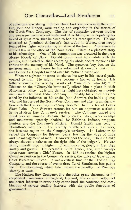of adventure was strong. Of her three brothers one was in the army, two, John and Robert, were trading and exploring in the service of the North-West Company. The ties of sympathy between mother and son were peculiarly intimate, and it is likely, as is popularly believed of great men, that he owed to her his rarer qualities. He was educated at Jonathan Anderson's Institution in Forres, then newly founded for higher education by a native of the town. Afterwards he studied law in the office of the town clerk. There is a pleasant story of his schooldays. One of his companions was drowned in the great Moray Floods of 1829. Donald Smith went to condole with the parents, and insisted on their accepting his whole pocket-money as his tribute to the memory of his friend. The generous boy became the generous man. In Forres he has refounded Anderson's Institution and founded a Hospital named after his mother's birthplace.

When at eighteen he came to choose his way in life, several paths opened to him. He might have become a lawyer at home. His father's cousins, the wealthy Grants of Manchester (who figure in Dickens as the " Cheeryble brothers "), offered him a place in their Manchester office. It is said that he might have obtained an appointment under the East India Company. Probably his choice was decided by the influence of his uncle, John Stewart, the bold explorer, who had first served the North-West Company, and after its amalgamation with the Hudson Bay Company, became Chief Factor at Lesser Slave Lake. John Stewart secured for him an apprentice clerkship in the Hudson Bay Company's service. The Company traded and ruled over an immense domain, chiefly forests, lakes, rivers, swamps and mountains, sparsely inhabited by Eskimos, Indians, trappers, hunters, and the Company's officials. Donald Smith was sent to Hamilton's Inlet, one of the recently established posts in Labrador, the bleakest region in the Company's territory. In Labrador he served the Company for thirteen years, learning the ways of trade and the management of men. However poor the post, " Donald Smith always showed <sup>a</sup> balance on the right side of the ledger ". He was fitting himself to go up higher. Promotion came, slowly at first, then swiftly and greatly. He became <sup>a</sup> Chief Trader, and, after twentythree years' service, a Chief Factor. In 1868, he reached the highest Canadian position in the Company's service, the office of Governor or Chief Executive Officer. It was a critical time for the Hudson Bay Company, and the course of events drew Lord Strathcona into public life. The discontent, which later caused the rebellion, of Riel was already at work.

The Hudson Bay Company, like the other great chartered or in corporated Companies of England, Holland, France and India, had one defect inherent in every body of the kind, the confusion and combination of private trading interests with the public functions of government.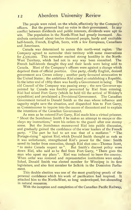The people were ruled, on the whole, effectively by the Company's officers. But the governed had no voice in their government. In any conflict between dividends and public interests, dividends were apt to win. The population in the North-West had greatly increased. Assiniboia contained about twelve thousand people, hardy and excitable half-breeds, French, English, Scots, with a few Europeans, Canadians and Americans.

Canada was determined to annex this north-west region. The Company agreed to surrender their territory with some reservations for  $\zeta$ 300,000. This surrender excited strong hostility in the North-West Territory, which had not in any way been consulted. The French half-breeds thought they and their lands were being sold to Canada. Most of the Company's officers were against a change which deprived them of official position. One party, chiefly English, desired government as a Crown colony ; another party favoured annexation to the United States ; the ambitious Riel aimed at establishing a Republic. In the latter end of 1869 there was hardly a Government in being. The old Council of the Company was passing away ; the new Governor appointed by Canada was forcibly prevented by Riel from entering. Riel had seized Fort Garry (which he held till the arrival of Wolsley's expedition) and proclaimed a Provisional Government. The Canadian Government turned to Donald Smith as the man whose influence and sagacity might save the situation, and dispatched him to Fort Garry, as Commissioner to inquire into the causes of discontent and to explain the intentions of the Canadian Government.

As soon as he entered Fort Garry, Riel made him a virtual prisoner. \*' Shoot the Scotchman Smith if he makes an attempt to escape or disobeys my instructions," were his orders to the guard after one stormy scene. But the Scotchman manoeuvred Riel into public discussion, and gradually gained the confidence of the wiser leaders of the French party. " The part he had to act was that of a mediator." " The Portage-rising" against Riel, which Donald Smith thought as rash as it was unfortunate, strengthened Riel's power for the time: Smith saved its leader from execution, though Riel shot one—Thomas Scott, "to make Canada respect us". But Smith's discreet policy wore down Riel, who said as he fled from Fort Garry, " There goes the man who upset my plans". Riel was induced to leave the country. When order was restored and representative institutions were established, Donald Smith was elected member for Winnipeg in its first legislature, and also first member for Selkirk in the Dominion Parliament.

This double election was one of the most gratifying proofs of the personal confidence which his work of pacification had inspired. It attached him to the North-West, so long undeveloped, but abounding in natural resources.

With the inception and completion of the Canadian Pacific Railway,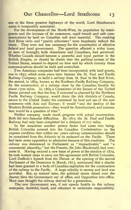## Our Chancellor—Lord Strathcona <sup>13</sup>

one of the three green<br>name is insenarably one ot the three greatest highways of the world, Lord Strathcona's name is inseparably associated.

For the development of the North-West, its population by immigrants and the increase of its commerce, rapid transit and safe communications by land on Canadian soil were essential. The creaking Red River carts and " prairie schooners" were hopelessly behind the times. They were not less necessary for the constitution of effective federal and local government. The question affected a wider issue, as men of foresight, both Americans and Canadians, had perceived. Whether Canada should become a powerful and loyal partner in the British Empire, or should be drawn into the political system of the United States, seemed to depend on how and by which country these communications should be built and controlled.

Two American companies had been incorporated, with land grants, one in 1857, which some years later became the St. Paul and Pacific Railway Company, to build a railway from St. Paul to the Red River, the second, in <sup>1</sup> 864, known as the Northern Pacific Railway Company, for the construction of a railway close by the Canadian frontier for about 1500 miles. In 1869 a Committee of the Senate of the United States pointed out that the line, if executed as planned by the Northern Pacific Railway Company, would drain the rich districts of Canada, secure to the United States the command by land and sea of the new commerce with Asia and Europe ; it would " seal the destiny of the Western British possessions—they would be Americanized, and annexation would be a question of time ".

Neither company made much progress with actual construction. Both fell into financial difficulties. By 1873 the St. Paul and Pacific Railway had only been completed for a distance of 217 miles.

In the meantime another potent factor had come into being. British Columbia entered into the Canadian Confederation on the express condition that within ten years railway communication should be completed from the Atlantic to its seaboard on the Pacific. There had been some opposition to admission because of this condition. The railway was denounced in Parliament as "impracticable" and "a commercial absurdity," but the Premier, Sir John Macdonald, had over come it. Having secured a new lease of power at the election of 1872, he took instant steps to carry out this agreement with British Columbia. Lord Dufferin's Speech from the Throne at the opening of the second Parliament of the Dominion in March, 1873, announced that a charter had been granted to a body of Canadian capitalists for the construction of the railway to the Pacific. A large subsidy in money and land was provided. But, as noticed later, the political storm raised over the charter blew the Government out of office, and Opposition into office. Most men thought the railway shelved for a generation.

The new Government was, if not openly hostile to the railway enterprise, doubtful, timid, and reluctant to undertake responsibility.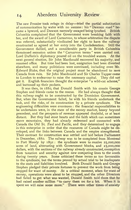The new Premier took refuge in delay—tried the partial substitution of communication by water with no success: his " Dawson road " be came a byword, and Dawson narrowly escaped being lynched. British Columbia complained that the Government were breaking faith with her, and the award of Lord Carnarvon, to whose arbitration the dispute was referred, substantially vindicated her right to have the railway constructed as agreed at her entry into the Confederation. Still the Government dallied, and a considerable party in British Columbia threatened secession unless the " Carnarvon terms " were carried out. Lord Dufferin's diplomacy poured oil on the troubled waters. At the next general election. Sir John Macdonald recovered his majority, and resumed office. But time had been lost, emigration had been diverted elsewhere, and many politicians were convinced, including even Mr. Edward Blake, that the original project must be abandoned to save Canada from ruin. Sir John Macdonald and Sir Charles Tupper came to London to endeavour to raise the necessary capital. They did not get it. English financiers thought the enterprise "a wild-cat scheme," and buttoned up their pockets.

It was then, in 1880, that Donald Smith with his cousin George Stephen and friends came to the rescue. He had always thought that this railway ought to be constructed by the Dominion Government. But, when the Government failed, he with his friends undertook the task, and the risks, of its construction by a private syndicate. The engineering difficulties were enormous : the financial responsibilities to be undertaken were, in the state of the money market, heavy beyond precedent, and the prospects of revenue appeared doubtful, or at least distant. But they had stout hearts and the faith which can sometimes move mountains, they had already redeemed and connected with Canada the Old St. Paul and Pacific, and they determined to engage in this enterprise in order that the resources of Canada might be developed, and the links between Canada and the empire strengthened. Their contract for construction was settled and laid before Parliament in December, 1880. The railway was to be completed from Montreal to Port Moody by 1891 : the syndicate were to receive 25,000,000 acres of land, alternating with Government blocks, and 25,000,000 dollars, with the sections of the railway already constructed, exemption from taxation and security against new competing lines to the south during twenty years. Some criticized these terms as too favourable to the syndicate, but the terms proved by actual trial to be inadequate to the costs and liabilities involved. Both Donald Smith and George Stephen pledged their private fortunes to prevent the work from being stopped for want of money. At a critical moment, when for want of money, operations were about to be stopped, and the other Directors had failed to get what was wanted, Donald Smith told them that he had raised another million "to carry them on for a bit. When it is spent we will raise some more." There were other times of anxiety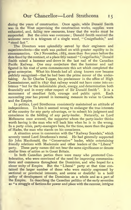during the years of construction. Once again, while Donald Smith was in the West supervising the construction works, supplies were exhausted, and, failing new resources, knew that the works must be suspended. But the crisis was overcome ; Donald Smith received the welcome news in a telegram of a single word, "Craigellachie," and " stood fast ".

The Directors were splendidly served by their engineers and superintendents—the work was pushed on with greater rapidity to its consummation. On <sup>7</sup> November, <sup>1</sup> 885, more than five years before the date fixed by the contract, at a place fitly named " Craigellachie," Donald Smith raised a hammer and drove in the last nail of the Canadian Pacific Railway. One may conjecture that the hammer and nail figured in his coat of arms commemorate this act which completed the great enterprise. What his friends had all along known now became publicly recognized—that he had been the prime mover of the undertaking. As Sir Charles Tupper, his predecessor in the office of High Commissioner, said in 1897 that railway would not have come into existence " but for the indomitable pluck, energy, and determination both financially and in every other respect of Sir Donald Smith ". It is a monument of steadfast faith, courage and public spirit. Each succeeding year has proved in increasing measure its value to Canada and the Empire.

In politics, Lord Strathcona consistently maintained an attitude of independence. To him it seemed wrong to endanger the true interests of the country for any party advantage, or to submit his judgment and conscience to the bidding of any party-leader. Naturally, as Lord Melbourne once avowed, the supporter whom the party-leader thinks worth having is the man who will back him when he is in the wrong. In a party crisis, party-managers hate, for the time, more than the gates of Hades, the man who stands on his conscience.

A situation arose in connexion with the " Railway Scandals," which severely tested Lord Strathcona's metal. He had generally supported Sir John Macdonald, the "Conservative" leader, while entertaining friendly relations with Mackenzie and other leaders of the "Liberal" party. These party names did not bear the same significance or denote similar lines of action as in Great Britain.

In both Canadian parties there were many who promoted Confederation, who were convinced of the need for improving communications and commerce throughout the Dominion, and who hoped for a closer unity of Empire. But the " Liberal " party at that time contained the larger number of those who were mainly engrossed by sectional or provincial interests, and averse or doubtful to a bold policy of development of the Dominion as a whole and as a part of the Empire. In describing the Canadian politics of the early seventies as " a struggle of factions for power and place with the rancour, intrigue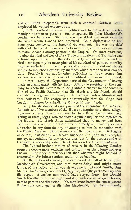and corruption inseparable from such a contest," Goldwin Smith employed his wonted exaggeration.

But the practical question of politics was to the ordinary elector mainly <sup>a</sup> question of persons,—for, or against. Sir John Macdonald's continuance in power. Sir John was the ablest and most versatile statesman whom Canada had produced. As <sup>a</sup> diplomatist he had done great service to the Imperial Government. He was the chief author of the recent Union and its Constitution, and he was ambitious to make Canada <sup>a</sup> strong partner in the Empire. On most questions, notably the rival policies of Free Trade and Preferential Tariffs, he was a frank opportunist. In the arts of party management he had no rival : consequently he never pitched his standard of political morality inconveniently high. Though personally incorrupt, he did not always scruple to influence elections by methods which came too near corruption. Possibly it was not for other politicians to throw stones: but a chance occurred which it was not in political human nature to resist.

In April, 1873, the Opposition accused the Government of having made an arrangement with Sir Hugh Allan, the president of the com pany to whom the Government had granted a charter for the construction of the Pacific Railway, that Sir Hugh and his friends should contribute a large sum of money to the election funds of Ministers and their followers. The charge was substantially that Sir Hugh had bought his charter by subsidizing Ministerial party funds.

Sir John Macdonald at once procured the appointment of a Select Committee of five members of the House to inquire into these allegations—which was ultimately superseded by <sup>a</sup> Royal Commission, consisting of three judges, who conducted a public inquiry and reported to the House. Sir Hugh Allan maintained that no money had been paid to, or received by, the Government directly or indirectly as consideration in any form for any advantage to him in connexion with the Pacific Railway. But it seemed clear that from some of Sir Hugh's associates, particularly a Chicago financier, Sir John had accepted money, not certainly for any private uses, but for the purpose and with the result of materially aiding the elections on the Government side.

The Liberal leader's motion of censure in the following October opened a debate more exciting and critical than the House had ever known. Independent members felt that, whatever might be said in extenuation, Sir John's conduct could not be justified.

But the motion of censure, if carried, meant the fall of the Sir John Macdonald's Government, and that meant delay, and might mean failure, of the policy of railway development. Donald Smith, then Member for Selkirk, was at Fort Q'Appelle, when'the parliamentary conflict began. A weaker man would have stayed there. But Donald Smith travelled to Ottawa night and day, with special relays of horses, to take part in the discussion. No man knew better the consequences if the vote went against Sir John Macdonald. Sir John's friends.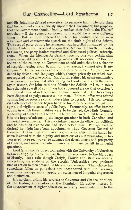and Sir John himself used every effort to persuade him. He told them that he could not conscientiously support the Government, but proposed that the Government should " frankly confess their fault to the House," and then "if the country condoned it, it would be a very different thing". But Sir John preferred to defend his conduct, and did so in a brilliant and characteristic speech on the sixth night of the debate. This sort of party outlay, he remarked, was in Britain managed by the Carlton Club for the Conservatives, and the Reform Club for the Liberals: in Canada, the party leaders received and distributed political subscriptions. When the Member for Selkirk rose, no one was certain what course he would take. His closing words left no doubt. " For the honour of the country, no Government should exist that has a shadow of suspicion resting upon it, and, for that reason, <sup>I</sup> cannot give it my support." In the corridors an exciting scene occurred. Sir John, maddened by defeat, used language which, though privately recorded, was not reported in the blue books. Mr. Smith retained his usual equanimity. It is pleasant to know that after feeling had cooled, and when they were again friends, Sir John told the Member for Selkirk : " <sup>I</sup> could never have thought so well of you if you had supported me on that occasion ".

This attitude of independence he has maintained. He has always been disposed to judge measures, not men. Political office was offered to him, but no pressure could induce him to accept. His countrymen on both sides of the sea began to value his force of character, patriotic spirit, and vigilant sense of public duty. Fortunately, an office became vacant in which these qualities were to be desired, the High Commissionership of Canada in London. He did not covet it, but he accepted it in the hope of advancing the larger questions in both Canadian and Imperial Governments. His appointment made the office non-political, and he has filled it as no one had done before him. Perhaps had he desired, he might have been appointed in 1897 Governor-General of Canada. But as High Commissioner, an office which in his hands be came invested with the dignity and functions of an Ambassador, he has possessed more real power to advance the development and prosperity of Canada, and make Canadian opinion and influence felt in Imperial questions.

Lord Strathcona's direct connexion with the University of Aberdeen began in <sup>1</sup>899 by his election as Rector in succession to the Marquess of Huntly. As a rule, though Carlyle, Froude and Bain are notable exceptions, the students of the Scottish Universities have preferred men of action to men eminent in literature or science. Their choice has sometimes fallen on politicians not unconnected with the Treasury, sometimes perhaps more happily on statesmen of Imperial experience and distinction.

His northern origin, his services as Governor and Chancellor of one of the leading Universities of the Dominion, his active interest in the advancement of higher education, naturally commended him to the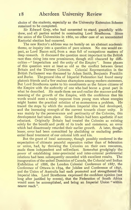choice of the students, especially as the University Extension Scheme remained to be completed.

Sir Edward Grey, who had consented to stand, gracefully withdrew, and all parties united in nominating Lord Strathcona. Since the union of the Universities in <sup>1</sup> 860, no other case of an uncontested Rectorial election had occurred.

The new Rector's address was no homily on an abstract academic theme, or inquiry into <sup>a</sup> question of pure science. No one would expect, as Lord Bacon said, from a man full of occupations matters of deep research. It discussed the question most important to the British race then rising into new prominence, though still obscured by diffi culties—" Imperialism and the unity of the Empire". Some phases of this question were at least as old as the conflict between Great Britain and the Thirteen Colonies. Colonial Representation in the British Parliament was discussed by Adam Smith, Benjamin Franklin and Burke. The general idea of Imperial Federation had found many platonic friends and a few zealous champions among modern statesmen. But Lord Strathcona spoke to his constituents as the future citizens of the Empire with the authority of one who had borne a great part in what he described. He made them see and realize the manner and the meaning of the growth of the Empire, with the confidence that his words would meet a ready response from young men whose energies might hasten the practical solution of so momentous <sup>a</sup> problem. He traced the steps by which the modern Imperial idea had developed, and the increasing strength of the current towards closer unity. It was mainly by the perseverance and pertinacity of the Colonies, this development had taken place. Great Britain had been apathetic if not reluctant. Originally Britain had treated the Colonies as existing solely for the benefit and profit of its trade and commerce, an error which had disastrously retarded their earlier growth. A later, though lesser, error had been committed by abolishing or excluding preferential fiscal treatment of our colonial kith and kin.

But the grant of local autonomy, though possibly conferred in the expectation of ultimate peaceful separation rather than of federation or union, had, by throwing the Colonies on their own resources, made them independent and self-reliant. Somewhat grudgingly the power of establishing inter-provincial and inter-colonial preferential relations had been subsequently conceded with excellent results. The inauguration of the united Dominion of Canada, the Colonial and Indian Exhibition of 1886, the London Colonial Conference of 1887, the Conference of Ottawa in 1894, the Jubilee and Conference of 1897, and the Union of Australia had each promoted and strengthened the Imperial idea. Lord Strathcona expressed the confident opinion (not long after justified by events), that the Federation of South Africa would soon be accomplished, and bring an Imperial Union " within nearer reach".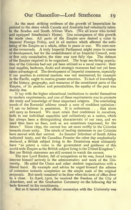## Our Chancellor—Lord Strathcona <sup>19</sup>

As the most striking evidence of the growth of Imperialism he pointed to the share which Canada and Australia had voluntarily taken in the Soudan and South African Wars. (We all know who levied and equipped Strathcona's Horse). One consequence of this growth he made clear. All parts of the Empire now desired a voice in Imperial Foreign Policy, and in all matters which affected the wellbeing of the Empire as a whole, either in peace or war. We were now at the crossroads. A truly Imperial Parliament might come in course of development, but for the establishment of an Imperial Council, even at first only consultative, the time was now fully ripe. The defence of the Empire required to be organized. The large sea-faring population of the Colonies had not yet been utilized as a naval reserve : their coal supplies, harbours, docks and strategic resources had not yet been taken advantage of. The development of Imperial commerce, especially if our position in external markets was not maintained, for example in the Pacific, ought to receive greater attention. To lack of knowledge of the history, geography, and resources of the constituent parts of the Empire, of its position and potentialities, the apathy of the past was mainly due.

It lay with the higher educational institutions to model themselves to modern requirements, and one of these requirements was to promote the study and knowledge of these important subjects. The concluding words of the Rectorial address struck a note of confident optimism "I am no believer in pessimism. It is enthusiasm  $\ldots$  that alone will carry us forward. We must retain that confidence in ourselves, both in our individual capacities and collectively as a nation, which has always been a distinguishing characteristic of our race, and we need then have no fears, such as are sometimes expressed, for the future." Since 1899, the current has set more swiftly in the Colonies towards closer unity. The minds of leading statesmen in our Colonies have moved with that current. As Senator Schreiner of South Africa indicated lately, and the Canadian Premier the other day emphatically declared, a British subject living in the Dominions must ultimately have "as potent a voice in the government and guidance of this world-wide Empire as the British subject living in the United Kingdom ". But our British statesmen are still content to watch the current.

The new Lord Rector, full of occupations as he was, found time to interest himself actively in the administration and work of the University. He aided the Union and other student organizations with a liberal hand. By example and advice he urged forward the scheme of extension towards completion on the ample scale of the original proposals. But much remained to be done when his term of office drew to a close. In April, 1902, he received the freedom of the City of Aberdeen, and at the Graduation Ceremony on the following day he bade farewell to his constituents.

But as it turned out his official connexion with the University was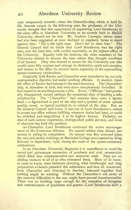only temporarily severed ; when the Chancellorship, which is held for life, became vacant in the following year, the graduates of the University thought that this opportunity of appointing Lord Strathcona to the same office in Aberdeen University as he already held in McGill University, should not be lost. Mr. Andrew Carnegie, whose name had also been suggested, at once declined in emphatic terms to stand against him : " He is the right man. Don't fail to elect him." The General Council had no doubt that Lord Strathcona was the right man, and did elect him, with cordial unanimity, to the highest office of the University. Equally with the students, the older members of the University desired to honour the man whom they thought worthiest of all honour. They also desired to secure for the University one who would most fitly express and enlarge its distinctive spirit and energies, and restore to the office its ancient lustre, especially at the approaching quater-centenary celebrations.

Originally both Rector and Chancellor were intended to be, not only representative dignities but useful working officials. In modern times the office of Rector had become in the main honorary. The Chancellorship, in Aberdeen at least, had even more conspicuously dwindled. It had ceased to be anything except a title. Every "Officium" had gradually disappeared, except perhaps the occasional duty of heading a subscription list. The "Chancellor" had scarcely been even a figurehead ;—a figure-head is part of the ship and a symbol of some special quality, event, or legend ascribed to, or related of, the ship. But, as the General Council well knew, it was not in Lord Strathcona's nature to accept any office without fulfilling whatever duties had been, or could be, attached, and magnifying it to its highest honour. Probably, no man of such various experience, distinguished public services, and force of character has held this position.

As Chancellor, Lord Strathcona continued his active encouragement of the Extension Scheme. He spared neither time, labour, nor money in aiding its completion. Its success was fitly crowned when the new and stately buildings at Marischal College were opened by King Edward in September, 1906, during the week of the quater-centenary celebrations.

In an Aberdeen University Magazine it is superfluous to recall the varied and picturesque succession of academic and civic ceremonials which filled that commemorative and memorial week. They are an abiding memory to all of us who witnessed them. Most of us knew, or came to know, what elaborate planning, what forethought and long preparation ofdetails preceded this celebration, and how all concerned, from Chancellor and Principal to Sacrists, laboured together that nothing might be wanting. Without the Chancellor's aid some of the material difficulties in the way might have proved insurmountable. There was no building large enough for the reception of delegates and entertainment of graduates and guests—Lord Strathcona built <sup>a</sup>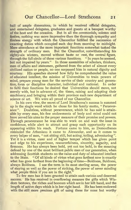hall of ample dimensions, in which he received official delegates, and entertained delegates, graduates and guests at a banquet worthy of the host and the occasion. But in all the ceremonials, solemn and festive, nothing was more impressive than the thorough sympathy and tireless energy with which the Chancellor fulfilled the succession of exacting duties which occupied each day from morning to midnight. Mere attendance at the more important functions somewhat tasked the strength of ordinary men. But the Chancellor, notwithstanding his eighty-six winters, moved without haste or rest, the central figure, through the full circle of these various functions. " In years he seemed, but not impaired by years." In those assemblies of scholars, thinkers, men of affairs and statesmen, gathered from the select of almost every civilized nation or people, no one surpassed him in natural dignity and courtesy. His speeches showed how fully he comprehended the value of educated intellect, the mission of Universities to train powers of mind, prepare young men for the service of their country and generation, form or discipline character, individual and national. In order to fulfil their functions he desired that Universities should move, not merely with, but in advance of, the times, raising and adapting their machinery, and bringing within their province each new department of science or art. We were all proud of our Chancellor.

In his own view, the secret of Lord Strathcona's success is summed up in the single word which he chose for his family motto, " Persever ance ". Doubtless, without perseverance, which he has said is attainable by every man, his fine endowments of body and mind could not have served his aims to the proper measure of their promise and powers. Through perseverance he was able to work on and wait the issue in confidence, while alert to attract and grasp each opportunity on its appearing within his reach. Fortune came to him, as Demosthenes reminded the Athenians it came to Alexander, and as it comes to every helper of men, " not sitting still, but acting, toiling, adventuring". Yet it is a virtue, rarer and of higher temper which has given point and edge to his experience, resourcefulness, sincerity, sagacity, and firmness. He has always been bold, yet not too bold, in the meaning defined by one of the most brilliant public men of our generation, when addressing Scottish students on the value and duty of educated intellect to the State. "Of all kinds of virtue what goes farthest now is exactly what has gone farthest from the beginning of time—Boldness, Boldness, always Boldness. <sup>I</sup> use the term in its most sterling sense, the power of staying as well as the power of striking, the power of never minding what people think if you are in the right."

To few men has it been granted to attain such various and deserved success. He has received in overflowing measure the gifts which Wisdom bestows, the riches and honours which are in her left hand, and the length of active days which is in her right hand. He has been endowed with the still more precious gift of using these for none but worthy